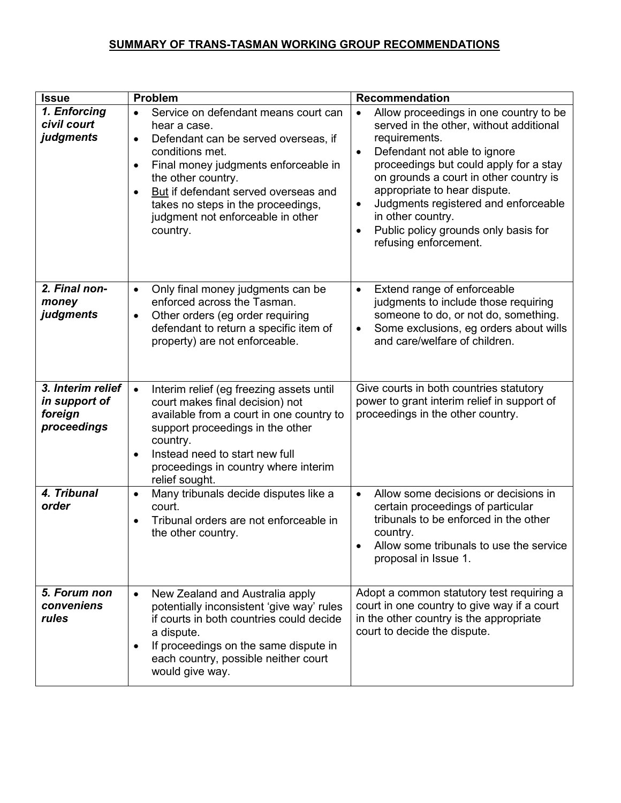## SUMMARY OF TRANS-TASMAN WORKING GROUP RECOMMENDATIONS

| <b>Issue</b>                                                 | Problem                                                                                                                                                                                                                                                                                                                                                          | <b>Recommendation</b>                                                                                                                                                                                                                                                                                                                                                                                                                    |
|--------------------------------------------------------------|------------------------------------------------------------------------------------------------------------------------------------------------------------------------------------------------------------------------------------------------------------------------------------------------------------------------------------------------------------------|------------------------------------------------------------------------------------------------------------------------------------------------------------------------------------------------------------------------------------------------------------------------------------------------------------------------------------------------------------------------------------------------------------------------------------------|
| 1. Enforcing<br>civil court<br>judgments                     | Service on defendant means court can<br>$\bullet$<br>hear a case.<br>Defendant can be served overseas, if<br>$\bullet$<br>conditions met.<br>Final money judgments enforceable in<br>$\bullet$<br>the other country.<br>But if defendant served overseas and<br>$\bullet$<br>takes no steps in the proceedings,<br>judgment not enforceable in other<br>country. | Allow proceedings in one country to be<br>$\bullet$<br>served in the other, without additional<br>requirements.<br>Defendant not able to ignore<br>$\bullet$<br>proceedings but could apply for a stay<br>on grounds a court in other country is<br>appropriate to hear dispute.<br>Judgments registered and enforceable<br>$\bullet$<br>in other country.<br>Public policy grounds only basis for<br>$\bullet$<br>refusing enforcement. |
| 2. Final non-<br>money<br>judgments                          | Only final money judgments can be<br>$\bullet$<br>enforced across the Tasman.<br>Other orders (eg order requiring<br>$\bullet$<br>defendant to return a specific item of<br>property) are not enforceable.                                                                                                                                                       | Extend range of enforceable<br>$\bullet$<br>judgments to include those requiring<br>someone to do, or not do, something.<br>Some exclusions, eg orders about wills<br>$\bullet$<br>and care/welfare of children.                                                                                                                                                                                                                         |
| 3. Interim relief<br>in support of<br>foreign<br>proceedings | Interim relief (eg freezing assets until<br>$\bullet$<br>court makes final decision) not<br>available from a court in one country to<br>support proceedings in the other<br>country.<br>Instead need to start new full<br>$\bullet$<br>proceedings in country where interim<br>relief sought.                                                                    | Give courts in both countries statutory<br>power to grant interim relief in support of<br>proceedings in the other country.                                                                                                                                                                                                                                                                                                              |
| 4. Tribunal<br>order                                         | Many tribunals decide disputes like a<br>$\bullet$<br>court.<br>Tribunal orders are not enforceable in<br>the other country.                                                                                                                                                                                                                                     | Allow some decisions or decisions in<br>$\bullet$<br>certain proceedings of particular<br>tribunals to be enforced in the other<br>country.<br>Allow some tribunals to use the service<br>proposal in Issue 1.                                                                                                                                                                                                                           |
| 5. Forum non<br>conveniens<br>rules                          | New Zealand and Australia apply<br>$\bullet$<br>potentially inconsistent 'give way' rules<br>if courts in both countries could decide<br>a dispute.<br>If proceedings on the same dispute in<br>each country, possible neither court<br>would give way.                                                                                                          | Adopt a common statutory test requiring a<br>court in one country to give way if a court<br>in the other country is the appropriate<br>court to decide the dispute.                                                                                                                                                                                                                                                                      |